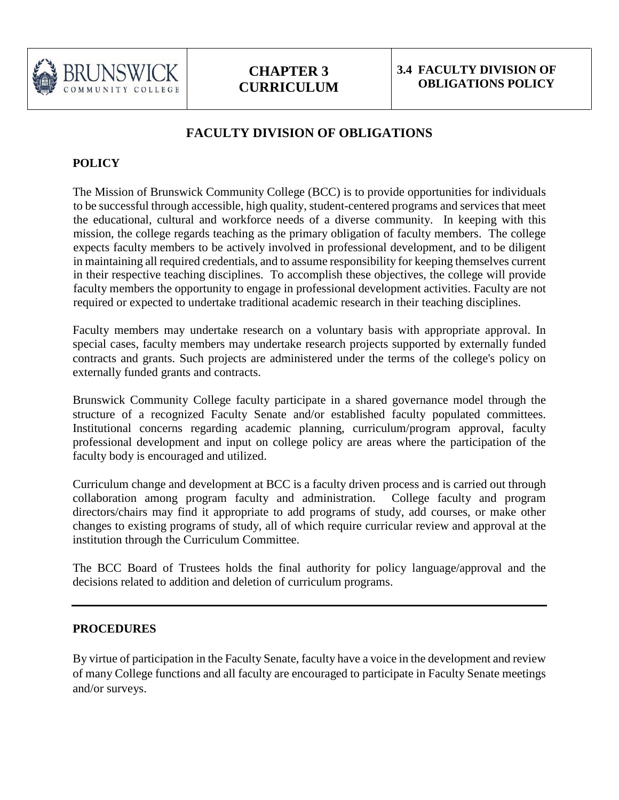

## **FACULTY DIVISION OF OBLIGATIONS**

## **POLICY**

The Mission of Brunswick Community College (BCC) is to provide opportunities for individuals to be successful through accessible, high quality, student-centered programs and services that meet the educational, cultural and workforce needs of a diverse community. In keeping with this mission, the college regards teaching as the primary obligation of faculty members. The college expects faculty members to be actively involved in professional development, and to be diligent in maintaining all required credentials, and to assume responsibility for keeping themselves current in their respective teaching disciplines. To accomplish these objectives, the college will provide faculty members the opportunity to engage in professional development activities. Faculty are not required or expected to undertake traditional academic research in their teaching disciplines.

Faculty members may undertake research on a voluntary basis with appropriate approval. In special cases, faculty members may undertake research projects supported by externally funded contracts and grants. Such projects are administered under the terms of the college's policy on externally funded grants and contracts.

Brunswick Community College faculty participate in a shared governance model through the structure of a recognized Faculty Senate and/or established faculty populated committees. Institutional concerns regarding academic planning, curriculum/program approval, faculty professional development and input on college policy are areas where the participation of the faculty body is encouraged and utilized.

Curriculum change and development at BCC is a faculty driven process and is carried out through collaboration among program faculty and administration. College faculty and program directors/chairs may find it appropriate to add programs of study, add courses, or make other changes to existing programs of study, all of which require curricular review and approval at the institution through the Curriculum Committee.

The BCC Board of Trustees holds the final authority for policy language/approval and the decisions related to addition and deletion of curriculum programs.

## **PROCEDURES**

By virtue of participation in the Faculty Senate, faculty have a voice in the development and review of many College functions and all faculty are encouraged to participate in Faculty Senate meetings and/or surveys.